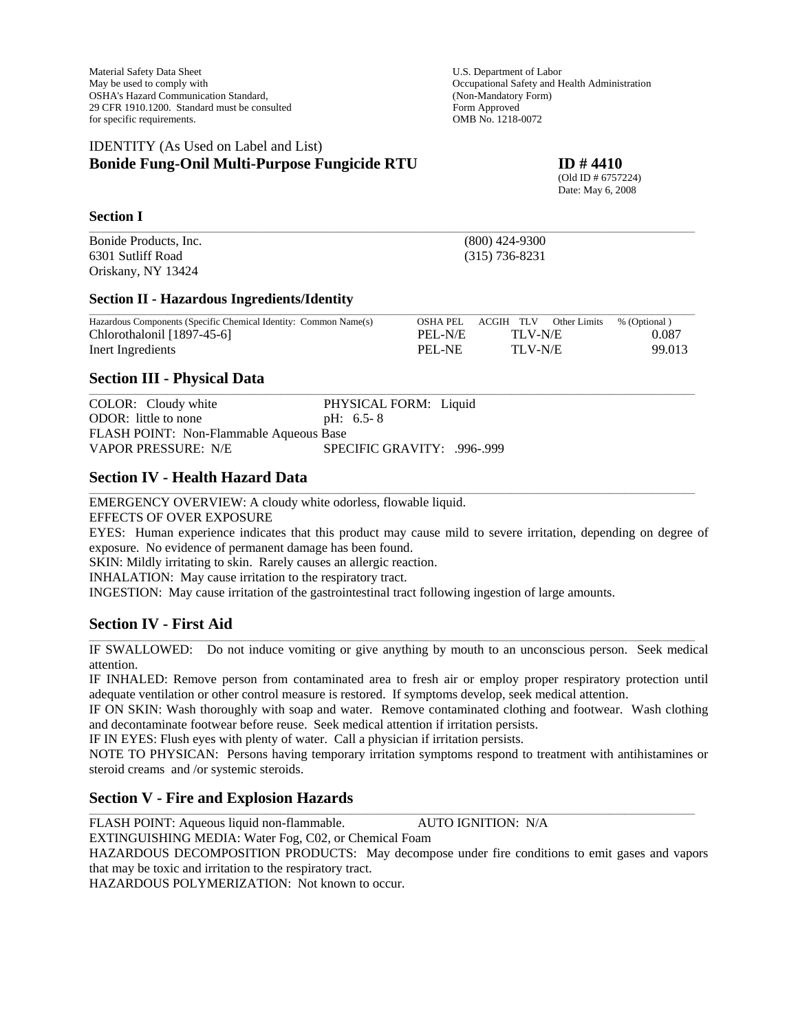Material Safety Data Sheet U.S. Department of Labor May be used to comply with Occupational Safety and Health Administration OSHA's Hazard Communication Standard, (Non-Mandatory Form) 29 CFR 1910.1200. Standard must be consulted Form Approved for specific requirements. OMB No. 1218-0072

# IDENTITY (As Used on Label and List) **Bonide Fung-Onil Multi-Purpose Fungicide RTU ID # 4410**

 (Old ID # 6757224) Date: May 6, 2008

#### **Section I**

Bonide Products, Inc. (800) 424-9300 6301 Sutliff Road (315) 736-8231 Oriskany, NY 13424

#### **Section II - Hazardous Ingredients/Identity**

| Hazardous Components (Specific Chemical Identity: Common Name(s) |         | OSHA PEL ACGIH TLV Other Limits % (Optional) |        |
|------------------------------------------------------------------|---------|----------------------------------------------|--------|
| Chlorothalonil [1897-45-6]                                       | PEI-N/E | TLV-N/E                                      | 0.087  |
| Inert Ingredients                                                | PEI -NE | TLV-N/E                                      | 99.013 |

\_\_\_\_\_\_\_\_\_\_\_\_\_\_\_\_\_\_\_\_\_\_\_\_\_\_\_\_\_\_\_\_\_\_\_\_\_\_\_\_\_\_\_\_\_\_\_\_\_\_\_\_\_\_\_\_\_\_\_\_\_\_\_\_\_\_\_\_\_\_\_\_\_\_\_\_\_\_\_\_\_\_\_\_\_\_\_\_\_\_\_\_\_\_\_\_\_\_\_\_\_\_\_\_\_\_\_\_\_\_\_\_\_\_\_\_\_\_\_\_\_\_\_\_\_\_\_\_\_\_\_\_\_\_\_\_\_\_\_\_\_\_\_\_\_\_\_\_\_\_\_\_\_\_\_

\_\_\_\_\_\_\_\_\_\_\_\_\_\_\_\_\_\_\_\_\_\_\_\_\_\_\_\_\_\_\_\_\_\_\_\_\_\_\_\_\_\_\_\_\_\_\_\_\_\_\_\_\_\_\_\_\_\_\_\_\_\_\_\_\_\_\_\_\_\_\_\_\_\_\_\_\_\_\_\_\_\_\_\_\_\_\_\_\_\_\_\_\_\_\_\_\_\_\_\_\_\_\_\_\_\_\_\_\_\_\_\_\_\_\_\_\_\_\_\_\_\_\_\_\_\_\_\_\_\_\_\_\_\_\_\_\_\_\_\_\_\_\_\_\_\_\_\_\_\_\_\_\_\_\_

\_\_\_\_\_\_\_\_\_\_\_\_\_\_\_\_\_\_\_\_\_\_\_\_\_\_\_\_\_\_\_\_\_\_\_\_\_\_\_\_\_\_\_\_\_\_\_\_\_\_\_\_\_\_\_\_\_\_\_\_\_\_\_\_\_\_\_\_\_\_\_\_\_\_\_\_\_\_\_\_\_\_\_\_\_\_\_\_\_\_\_\_\_\_\_\_\_\_\_\_\_\_\_\_\_\_\_\_\_\_\_\_\_\_\_\_\_\_\_\_\_\_\_\_\_\_\_\_\_\_\_\_\_\_\_\_\_\_\_\_\_\_\_\_\_\_\_\_\_\_\_\_\_\_\_

# **Section III - Physical Data**

| COLOR: Cloudy white                     | PHYSICAL FORM: Liquid       |
|-----------------------------------------|-----------------------------|
| ODOR: little to none                    | $pH: 6.5 - 8$               |
| FLASH POINT: Non-Flammable Aqueous Base |                             |
| VAPOR PRESSURE: N/E                     | SPECIFIC GRAVITY: .996-.999 |

# **Section IV - Health Hazard Data**

EMERGENCY OVERVIEW: A cloudy white odorless, flowable liquid. EFFECTS OF OVER EXPOSURE EYES: Human experience indicates that this product may cause mild to severe irritation, depending on degree of exposure. No evidence of permanent damage has been found. SKIN: Mildly irritating to skin. Rarely causes an allergic reaction. INHALATION: May cause irritation to the respiratory tract. INGESTION: May cause irritation of the gastrointestinal tract following ingestion of large amounts.

# **Section IV - First Aid**

\_\_\_\_\_\_\_\_\_\_\_\_\_\_\_\_\_\_\_\_\_\_\_\_\_\_\_\_\_\_\_\_\_\_\_\_\_\_\_\_\_\_\_\_\_\_\_\_\_\_\_\_\_\_\_\_\_\_\_\_\_\_\_\_\_\_\_\_\_\_\_\_\_\_\_\_\_\_\_\_\_\_\_\_\_\_\_\_\_\_\_\_\_\_\_\_\_\_\_\_\_\_\_\_\_\_\_\_\_\_\_\_\_\_\_\_\_\_\_\_\_\_\_\_\_\_\_\_\_\_\_\_\_\_\_\_\_\_\_\_\_\_\_\_\_\_\_\_\_\_\_\_\_\_\_ IF SWALLOWED: Do not induce vomiting or give anything by mouth to an unconscious person. Seek medical attention.

IF INHALED: Remove person from contaminated area to fresh air or employ proper respiratory protection until adequate ventilation or other control measure is restored. If symptoms develop, seek medical attention.

IF ON SKIN: Wash thoroughly with soap and water. Remove contaminated clothing and footwear. Wash clothing and decontaminate footwear before reuse. Seek medical attention if irritation persists.

IF IN EYES: Flush eyes with plenty of water. Call a physician if irritation persists.

NOTE TO PHYSICAN: Persons having temporary irritation symptoms respond to treatment with antihistamines or steroid creams and /or systemic steroids.

# **Section V - Fire and Explosion Hazards**

FLASH POINT: Aqueous liquid non-flammable. AUTO IGNITION: N/A

EXTINGUISHING MEDIA: Water Fog, C02, or Chemical Foam

HAZARDOUS DECOMPOSITION PRODUCTS: May decompose under fire conditions to emit gases and vapors that may be toxic and irritation to the respiratory tract.

\_\_\_\_\_\_\_\_\_\_\_\_\_\_\_\_\_\_\_\_\_\_\_\_\_\_\_\_\_\_\_\_\_\_\_\_\_\_\_\_\_\_\_\_\_\_\_\_\_\_\_\_\_\_\_\_\_\_\_\_\_\_\_\_\_\_\_\_\_\_\_\_\_\_\_\_\_\_\_\_\_\_\_\_\_\_\_\_\_\_\_\_\_\_\_\_\_\_\_\_\_\_\_\_\_\_\_\_\_\_\_\_\_\_\_\_\_\_\_\_\_\_\_\_\_\_\_\_\_\_\_\_\_\_\_\_\_\_\_\_\_\_\_\_\_\_\_\_\_\_\_\_\_\_\_

HAZARDOUS POLYMERIZATION: Not known to occur.